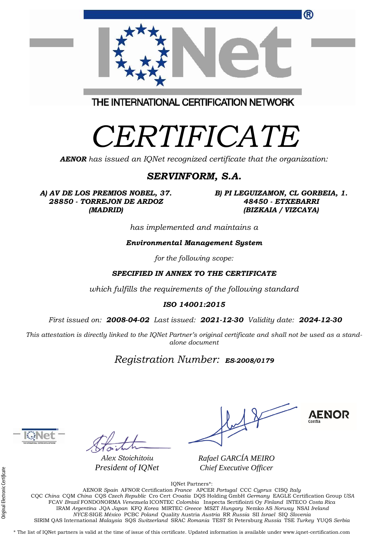| <sup>(R)</sup>                                                                                |
|-----------------------------------------------------------------------------------------------|
| THE INTERNATIONAL CERTIFICATION NETWORK                                                       |
| CERTIFICATE<br><b>AENOR</b> has issued an IQNet recognized certificate that the organization: |

### *SERVINFORM, S.A.*

*A) AV DE LOS PREMIOS NOBEL, 37. 28850 - TORREJON DE ARDOZ (MADRID)*

*B) PI LEGUIZAMON, CL GORBEIA, 1. 48450 - ETXEBARRI (BIZKAIA / VIZCAYA)*

*has implemented and maintains a*

#### *Environmental Management System*

*for the following scope:* 

### *SPECIFIED IN ANNEX TO THE CERTIFICATE*

*which fulfills the requirements of the following standard*

#### *ISO 14001:2015*

*First issued on: 2008-04-02 Last issued: 2021-12-30 Validity date: 2024-12-30*

*This attestation is directly linked to the IQNet Partner's original certificate and shall not be used as a standalone document*

## *Registration Number: ES-2008/0179*



*Alex Stoichitoiu President of IQNet*

**AENOR** 

*Rafael GARCÍA MEIRO Chief Executive Officer*

IQNet Partners\*: AENOR *Spain* AFNOR Certification *France* APCER *Portugal* CCC *Cyprus* CISQ *Italy* CQC *China* CQM *China* CQS *Czech Republic* Cro Cert *Croatia* DQS Holding GmbH *Germany* EAGLE Certification Group *USA* FCAV *Brazil* FONDONORMA *Venezuela* ICONTEC *Colombia* Inspecta Sertifiointi Oy *Finland* INTECO *Costa Rica* IRAM *Argentina* JQA *Japan* KFQ *Korea* MIRTEC *Greece* MSZT *Hungary* Nemko AS *Norway* NSAI *Ireland NYCE-*SIGE *México* PCBC *Poland* Quality Austria *Austria* RR *Russia* SII *Israel* SIQ *Slovenia*  SIRIM QAS International *Malaysia* SQS *Switzerland* SRAC *Romania* TEST St Petersburg *Russia* TSE *Turkey* YUQS *Serbia*

\* The list of IQNet partners is valid at the time of issue of this certificate. Updated information is available under www.iqnet-certification.com